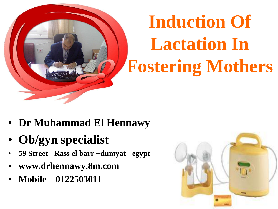

# **Induction Of Lactation In Fostering Mothers**

- **Dr Muhammad El Hennawy**
- **Ob/gyn specialist**
- **59 Street - Rass el barr –dumyat - egypt**
- **www.drhennawy.8m.com**
- **Mobile 0122503011**

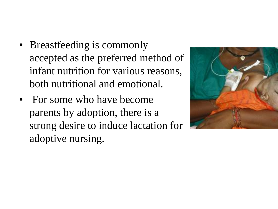- Breastfeeding is commonly accepted as the preferred method of infant nutrition for various reasons, both nutritional and emotional.
- For some who have become parents by adoption, there is a strong desire to induce lactation for adoptive nursing.

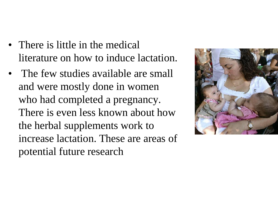- There is little in the medical literature on how to induce lactation.
- The few studies available are small and were mostly done in women who had completed a pregnancy. There is even less known about how the herbal supplements work to increase lactation. These are areas of potential future research

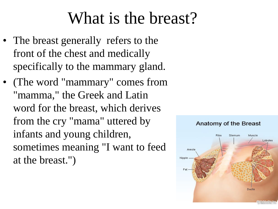### What is the breast?

- The breast generally refers to the front of the chest and medically specifically to the mammary gland.
- (The word "mammary" comes from "mamma," the Greek and Latin word for the breast, which derives from the cry "mama" uttered by infants and young children, sometimes meaning "I want to feed at the breast.")

#### Sternum Muscle Rihs Lobules Areola Nipple Ducts

Anatomy of the Breast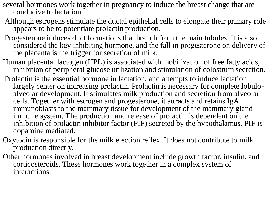- several hormones work together in pregnancy to induce the breast change that are conducive to lactation.
- Although estrogens stimulate the ductal epithelial cells to elongate their primary role appears to be to potentiate prolactin production.
- Progesterone induces duct formations that branch from the main tubules. It is also considered the key inhibiting hormone, and the fall in progesterone on delivery of the placenta is the trigger for secretion of milk.
- Human placental lactogen (HPL) is associated with mobilization of free fatty acids, inhibition of peripheral glucose utilization and stimulation of colostrum secretion.
- Prolactin is the essential hormone in lactation, and attempts to induce lactation largely center on increasing prolactin. Prolactin is necessary for complete lobuloalveolar development. It stimulates milk production and secretion from alveolar cells. Together with estrogen and progesterone, it attracts and retains IgA immunoblasts to the mammary tissue for development of the mammary gland immune system. The production and release of prolactin is dependent on the inhibition of prolactin inhibitor factor (PIF) secreted by the hypothalamus. PIF is dopamine mediated.
- Oxytocin is responsible for the milk ejection reflex. It does not contribute to milk production directly.
- Other hormones involved in breast development include growth factor, insulin, and corticosteroids. These hormones work together in a complex system of interactions.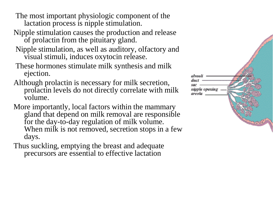The most important physiologic component of the lactation process is nipple stimulation.

- Nipple stimulation causes the production and release of prolactin from the pituitary gland.
- Nipple stimulation, as well as auditory, olfactory and visual stimuli, induces oxytocin release.
- These hormones stimulate milk synthesis and milk ejection.
- Although prolactin is necessary for milk secretion, prolactin levels do not directly correlate with milk volume.
- More importantly, local factors within the mammary gland that depend on milk removal are responsible for the day-to-day regulation of milk volume. When milk is not removed, secretion stops in a few days.
- Thus suckling, emptying the breast and adequate precursors are essential to effective lactation

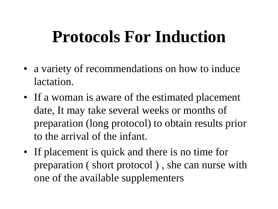### **Protocols For Induction**

- a variety of recommendations on how to induce lactation.
- If a woman is aware of the estimated placement date, It may take several weeks or months of preparation (long protocol) to obtain results prior to the arrival of the infant.
- If placement is quick and there is no time for preparation ( short protocol ) , she can nurse with one of the available supplementers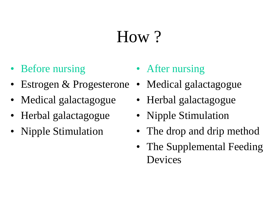### How ?

- Before nursing
- Estrogen & Progesterone
- Medical galactagogue
- Herbal galactagogue
- Nipple Stimulation
- After nursing
- Medical galactagogue
- Herbal galactagogue
- Nipple Stimulation
- The drop and drip method
- The Supplemental Feeding Devices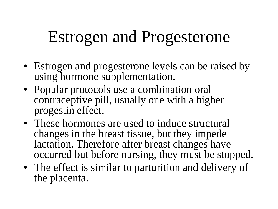### Estrogen and Progesterone

- Estrogen and progesterone levels can be raised by using hormone supplementation.
- Popular protocols use a combination oral contraceptive pill, usually one with a higher progestin effect.
- These hormones are used to induce structural changes in the breast tissue, but they impede lactation. Therefore after breast changes have occurred but before nursing, they must be stopped.
- The effect is similar to parturition and delivery of the placenta.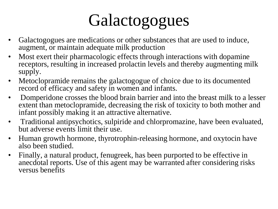## Galactogogues

- Galactogogues are medications or other substances that are used to induce, augment, or maintain adequate milk production
- Most exert their pharmacologic effects through interactions with dopamine receptors, resulting in increased prolactin levels and thereby augmenting milk supply.
- Metoclopramide remains the galactogogue of choice due to its documented record of efficacy and safety in women and infants.
- Domperidone crosses the blood brain barrier and into the breast milk to a lesser extent than metoclopramide, decreasing the risk of toxicity to both mother and infant possibly making it an attractive alternative.
- Traditional antipsychotics, sulpiride and chlorpromazine, have been evaluated, but adverse events limit their use.
- Human growth hormone, thyrotrophin-releasing hormone, and oxytocin have also been studied.
- Finally, a natural product, fenugreek, has been purported to be effective in anecdotal reports. Use of this agent may be warranted after considering risks versus benefits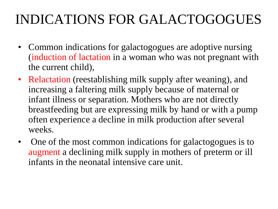#### INDICATIONS FOR GALACTOGOGUES

- Common indications for galactogogues are adoptive nursing (induction of lactation in a woman who was not pregnant with the current child),
- Relactation (reestablishing milk supply after weaning), and increasing a faltering milk supply because of maternal or infant illness or separation. Mothers who are not directly breastfeeding but are expressing milk by hand or with a pump often experience a decline in milk production after several weeks.
- One of the most common indications for galactogogues is to augment a declining milk supply in mothers of preterm or ill infants in the neonatal intensive care unit.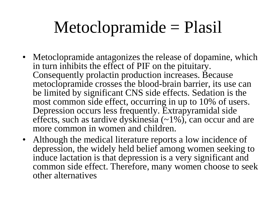### Metoclopramide = Plasil

- Metoclopramide antagonizes the release of dopamine, which in turn inhibits the effect of PIF on the pituitary. Consequently prolactin production increases. Because metoclopramide crosses the blood-brain barrier, its use can be limited by significant CNS side effects. Sedation is the most common side effect, occurring in up to 10% of users. Depression occurs less frequently. Extrapyramidal side effects, such as tardive dyskinesia (~1%), can occur and are more common in women and children.
- Although the medical literature reports a low incidence of depression, the widely held belief among women seeking to induce lactation is that depression is a very significant and common side effect. Therefore, many women choose to seek other alternatives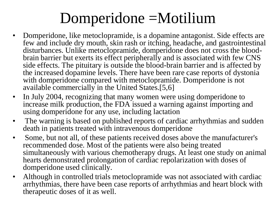#### Domperidone =Motilium

- Domperidone, like metoclopramide, is a dopamine antagonist. Side effects are few and include dry mouth, skin rash or itching, headache, and gastrointestinal disturbances. Unlike metoclopramide, domperidone does not cross the bloodbrain barrier but exerts its effect peripherally and is associated with few CNS side effects. The pituitary is outside the blood-brain barrier and is affected by the increased dopamine levels. There have been rare case reports of dystonia with domperidone compared with metoclopramide. Domperidone is not available commercially in the United States.[5,6]
- In July 2004, recognizing that many women were using domperidone to increase milk production, the FDA issued a warning against importing and using domperidone for any use, including lactation
- The warning is based on published reports of cardiac arrhythmias and sudden death in patients treated with intravenous domperidone
- Some, but not all, of these patients received doses above the manufacturer's recommended dose. Most of the patients were also being treated simultaneously with various chemotherapy drugs. At least one study on animal hearts demonstrated prolongation of cardiac repolarization with doses of domperidone used clinically.
- Although in controlled trials metoclopramide was not associated with cardiac arrhythmias, there have been case reports of arrhythmias and heart block with therapeutic doses of it as well.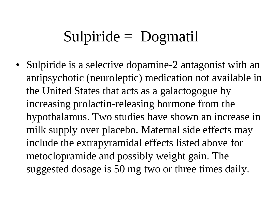#### Sulpiride = Dogmatil

• Sulpiride is a selective dopamine-2 antagonist with an antipsychotic (neuroleptic) medication not available in the United States that acts as a galactogogue by increasing prolactin-releasing hormone from the hypothalamus. Two studies have shown an increase in milk supply over placebo. Maternal side effects may include the extrapyramidal effects listed above for metoclopramide and possibly weight gain. The suggested dosage is 50 mg two or three times daily.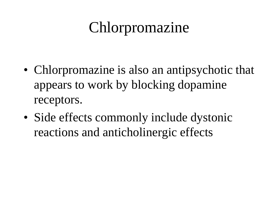### Chlorpromazine

- Chlorpromazine is also an antipsychotic that appears to work by blocking dopamine receptors.
- Side effects commonly include dystonic reactions and anticholinergic effects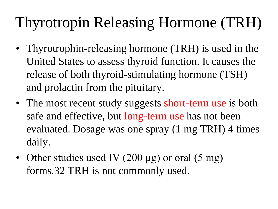### Thyrotropin Releasing Hormone (TRH)

- Thyrotrophin-releasing hormone (TRH) is used in the United States to assess thyroid function. It causes the release of both thyroid-stimulating hormone (TSH) and prolactin from the pituitary.
- The most recent study suggests short-term use is both safe and effective, but long-term use has not been evaluated. Dosage was one spray (1 mg TRH) 4 times daily.
- Other studies used IV (200 μg) or oral (5 mg) forms.32 TRH is not commonly used.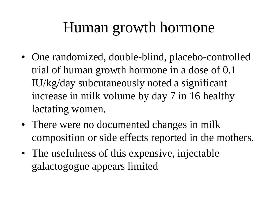#### Human growth hormone

- One randomized, double-blind, placebo-controlled trial of human growth hormone in a dose of 0.1 IU/kg/day subcutaneously noted a significant increase in milk volume by day 7 in 16 healthy lactating women.
- There were no documented changes in milk composition or side effects reported in the mothers.
- The usefulness of this expensive, injectable galactogogue appears limited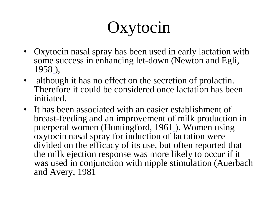### **Oxytocin**

- Oxytocin nasal spray has been used in early lactation with some success in enhancing let-down (Newton and Egli, 1958 ),
- although it has no effect on the secretion of prolactin. Therefore it could be considered once lactation has been initiated.
- It has been associated with an easier establishment of breast-feeding and an improvement of milk production in puerperal women (Huntingford, 1961). Women using oxytocin nasal spray for induction of lactation were divided on the efficacy of its use, but often reported that the milk ejection response was more likely to occur if it was used in conjunction with nipple stimulation (Auerbach and Avery, 1981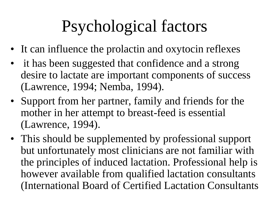### Psychological factors

- It can influence the prolactin and oxytocin reflexes
- it has been suggested that confidence and a strong desire to lactate are important components of success (Lawrence, 1994; Nemba, 1994).
- Support from her partner, family and friends for the mother in her attempt to breast-feed is essential (Lawrence, 1994).
- This should be supplemented by professional support but unfortunately most clinicians are not familiar with the principles of induced lactation. Professional help is however available from qualified lactation consultants (International Board of Certified Lactation Consultants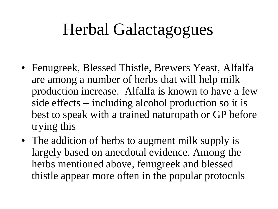### Herbal Galactagogues

- Fenugreek, Blessed Thistle, Brewers Yeast, Alfalfa are among a number of herbs that will help milk production increase. Alfalfa is known to have a few side effects – including alcohol production so it is best to speak with a trained naturopath or GP before trying this
- The addition of herbs to augment milk supply is largely based on anecdotal evidence. Among the herbs mentioned above, fenugreek and blessed thistle appear more often in the popular protocols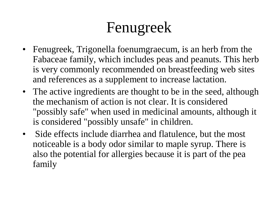### Fenugreek

- Fenugreek, Trigonella foenumgraecum, is an herb from the Fabaceae family, which includes peas and peanuts. This herb is very commonly recommended on breastfeeding web sites and references as a supplement to increase lactation.
- The active ingredients are thought to be in the seed, although the mechanism of action is not clear. It is considered "possibly safe" when used in medicinal amounts, although it is considered "possibly unsafe" in children.
- Side effects include diarrhea and flatulence, but the most noticeable is a body odor similar to maple syrup. There is also the potential for allergies because it is part of the pea family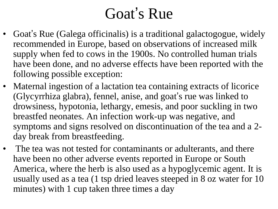#### Goat's Rue

- Goat's Rue (Galega officinalis) is a traditional galactogogue, widely recommended in Europe, based on observations of increased milk supply when fed to cows in the 1900s. No controlled human trials have been done, and no adverse effects have been reported with the following possible exception:
- Maternal ingestion of a lactation tea containing extracts of licorice (Glycyrrhiza glabra), fennel, anise, and goat's rue was linked to drowsiness, hypotonia, lethargy, emesis, and poor suckling in two breastfed neonates. An infection work-up was negative, and symptoms and signs resolved on discontinuation of the tea and a 2 day break from breastfeeding.
- The tea was not tested for contaminants or adulterants, and there have been no other adverse events reported in Europe or South America, where the herb is also used as a hypoglycemic agent. It is usually used as a tea (1 tsp dried leaves steeped in 8 oz water for 10 minutes) with 1 cup taken three times a day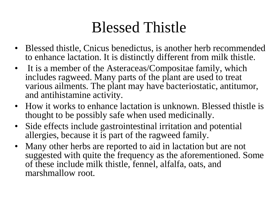#### Blessed Thistle

- Blessed thistle, Cnicus benedictus, is another herb recommended to enhance lactation. It is distinctly different from milk thistle.
- It is a member of the Asteraceas/Compositae family, which includes ragweed. Many parts of the plant are used to treat various ailments. The plant may have bacteriostatic, antitumor, and antihistamine activity.
- How it works to enhance lactation is unknown. Blessed thistle is thought to be possibly safe when used medicinally.
- Side effects include gastrointestinal irritation and potential allergies, because it is part of the ragweed family.
- Many other herbs are reported to aid in lactation but are not suggested with quite the frequency as the aforementioned. Some of these include milk thistle, fennel, alfalfa, oats, and marshmallow root.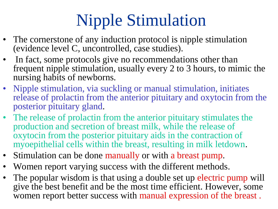## Nipple Stimulation

- The cornerstone of any induction protocol is nipple stimulation (evidence level C, uncontrolled, case studies).
- In fact, some protocols give no recommendations other than frequent nipple stimulation, usually every 2 to 3 hours, to mimic the nursing habits of newborns.
- Nipple stimulation, via suckling or manual stimulation, initiates release of prolactin from the anterior pituitary and oxytocin from the posterior pituitary gland.
- The release of prolactin from the anterior pituitary stimulates the production and secretion of breast milk, while the release of oxytocin from the posterior pituitary aids in the contraction of myoepithelial cells within the breast, resulting in milk letdown.
- Stimulation can be done manually or with a breast pump.
- Women report varying success with the different methods.
- The popular wisdom is that using a double set up electric pump will give the best benefit and be the most time efficient. However, some women report better success with manual expression of the breast .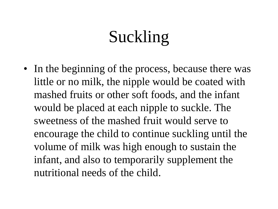### Suckling

• In the beginning of the process, because there was little or no milk, the nipple would be coated with mashed fruits or other soft foods, and the infant would be placed at each nipple to suckle. The sweetness of the mashed fruit would serve to encourage the child to continue suckling until the volume of milk was high enough to sustain the infant, and also to temporarily supplement the nutritional needs of the child.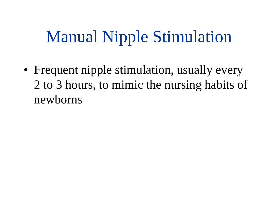### Manual Nipple Stimulation

• Frequent nipple stimulation, usually every 2 to 3 hours, to mimic the nursing habits of newborns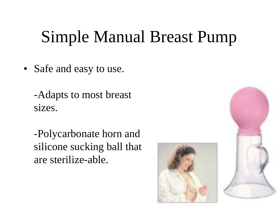### Simple Manual Breast Pump

- Safe and easy to use.
	- -Adapts to most breast sizes.
	- -Polycarbonate horn and silicone sucking ball that are sterilize-able.



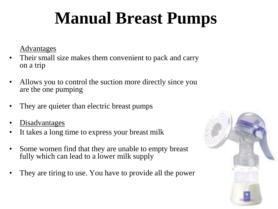## **Manual Breast Pumps**

Advantages

- Their small size makes them convenient to pack and carry on a trip
- Allows you to control the suction more directly since you are the one pumping
- They are quieter than electric breast pumps
- Disadvantages
- It takes a long time to express your breast milk
- Some women find that they are unable to empty breast fully which can lead to a lower milk supply
- They are tiring to use. You have to provide all the power

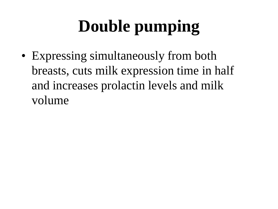## **Double pumping**

• Expressing simultaneously from both breasts, cuts milk expression time in half and increases prolactin levels and milk volume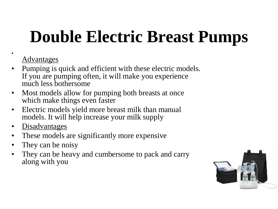## **Double Electric Breast Pumps**

#### Advantages

•

- Pumping is quick and efficient with these electric models. If you are pumping often, it will make you experience much less bothersome
- Most models allow for pumping both breasts at once which make things even faster
- Electric models yield more breast milk than manual models. It will help increase your milk supply
- Disadvantages
- These models are significantly more expensive
- They can be noisy
- They can be heavy and cumbersome to pack and carry along with you

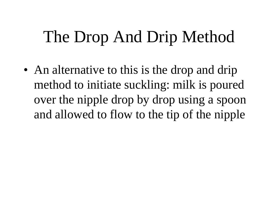### The Drop And Drip Method

• An alternative to this is the drop and drip method to initiate suckling: milk is poured over the nipple drop by drop using a spoon and allowed to flow to the tip of the nipple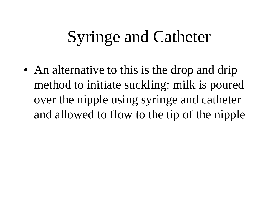### Syringe and Catheter

• An alternative to this is the drop and drip method to initiate suckling: milk is poured over the nipple using syringe and catheter and allowed to flow to the tip of the nipple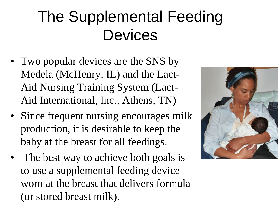### The Supplemental Feeding **Devices**

- Two popular devices are the SNS by Medela (McHenry, IL) and the Lact-Aid Nursing Training System (Lact-Aid International, Inc., Athens, TN)
- Since frequent nursing encourages milk production, it is desirable to keep the baby at the breast for all feedings.
- The best way to achieve both goals is to use a supplemental feeding device worn at the breast that delivers formula (or stored breast milk).

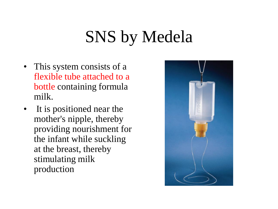### SNS by Medela

- This system consists of a flexible tube attached to a bottle containing formula milk.
- It is positioned near the mother's nipple, thereby providing nourishment for the infant while suckling at the breast, thereby stimulating milk production

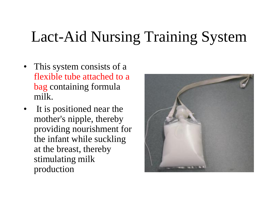### Lact-Aid Nursing Training System

- This system consists of a flexible tube attached to a bag containing formula milk.
- It is positioned near the mother's nipple, thereby providing nourishment for the infant while suckling at the breast, thereby stimulating milk production

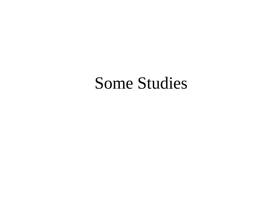#### Some Studies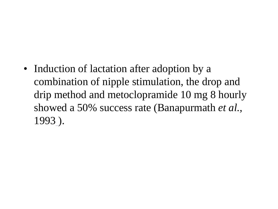• Induction of lactation after adoption by a combination of nipple stimulation, the drop and drip method and metoclopramide 10 mg 8 hourly showed a 50% success rate (Banapurmath *et al.*, 1993 ).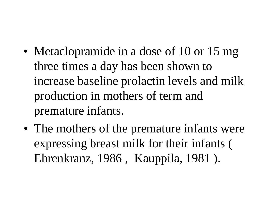- Metaclopramide in a dose of 10 or 15 mg three times a day has been shown to increase baseline prolactin levels and milk production in mothers of term and premature infants.
- The mothers of the premature infants were expressing breast milk for their infants ( Ehrenkranz, 1986 , Kauppila, 1981 ).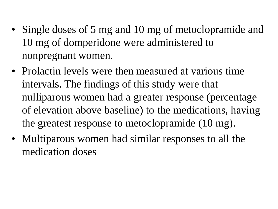- Single doses of 5 mg and 10 mg of metoclopramide and 10 mg of domperidone were administered to nonpregnant women.
- Prolactin levels were then measured at various time intervals. The findings of this study were that nulliparous women had a greater response (percentage of elevation above baseline) to the medications, having the greatest response to metoclopramide (10 mg).
- Multiparous women had similar responses to all the medication doses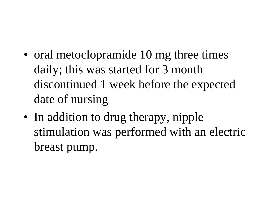- oral metoclopramide 10 mg three times daily; this was started for 3 month discontinued 1 week before the expected date of nursing
- In addition to drug therapy, nipple stimulation was performed with an electric breast pump.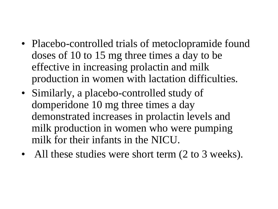- Placebo-controlled trials of metoclopramide found doses of 10 to 15 mg three times a day to be effective in increasing prolactin and milk production in women with lactation difficulties.
- Similarly, a placebo-controlled study of domperidone 10 mg three times a day demonstrated increases in prolactin levels and milk production in women who were pumping milk for their infants in the NICU.
- All these studies were short term (2 to 3 weeks).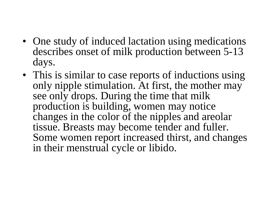- One study of induced lactation using medications describes onset of milk production between 5-13 days.
- This is similar to case reports of inductions using only nipple stimulation. At first, the mother may see only drops. During the time that milk production is building, women may notice changes in the color of the nipples and areolar tissue. Breasts may become tender and fuller. Some women report increased thirst, and changes in their menstrual cycle or libido.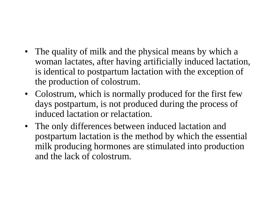- The quality of milk and the physical means by which a woman lactates, after having artificially induced lactation, is identical to postpartum lactation with the exception of the production of colostrum.
- Colostrum, which is normally produced for the first few days postpartum, is not produced during the process of induced lactation or relactation.
- The only differences between induced lactation and postpartum lactation is the method by which the essential milk producing hormones are stimulated into production and the lack of colostrum.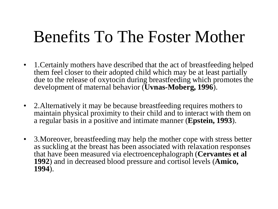### Benefits To The Foster Mother

- 1. Certainly mothers have described that the act of breastfeeding helped them feel closer to their adopted child which may be at least partially due to the release of oxytocin during breastfeeding which promotes the development of maternal behavior (**Uvnas-Moberg, 1996**).
- 2.Alternatively it may be because breastfeeding requires mothers to maintain physical proximity to their child and to interact with them on a regular basis in a positive and intimate manner (**Epstein, 1993**).
- 3.Moreover, breastfeeding may help the mother cope with stress better as suckling at the breast has been associated with relaxation responses that have been measured via electroencephalograph (**Cervantes et al 1992**) and in decreased blood pressure and cortisol levels (**Amico, 1994**).